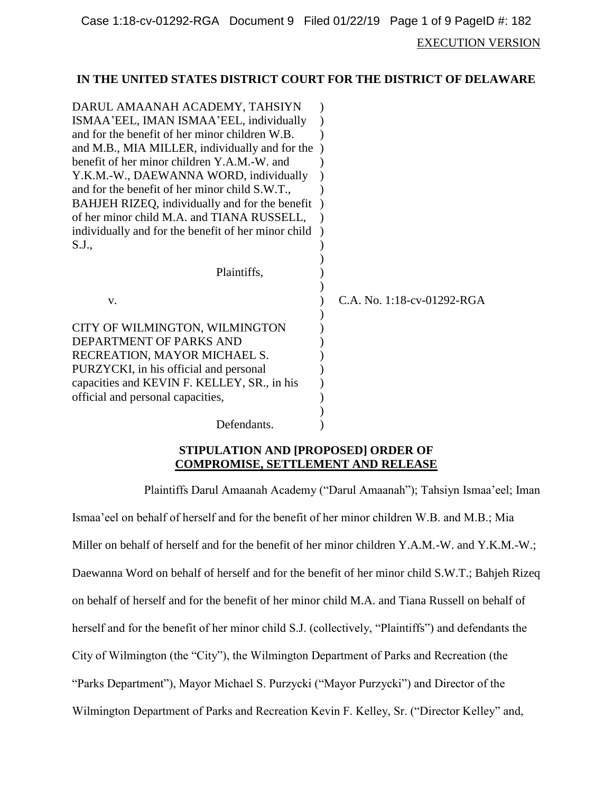EXECUTION VERSION

#### **IN THE UNITED STATES DISTRICT COURT FOR THE DISTRICT OF DELAWARE**

| DARUL AMAANAH ACADEMY, TAHSIYN                      |                            |
|-----------------------------------------------------|----------------------------|
| ISMAA'EEL, IMAN ISMAA'EEL, individually             |                            |
| and for the benefit of her minor children W.B.      |                            |
| and M.B., MIA MILLER, individually and for the      |                            |
| benefit of her minor children Y.A.M.-W. and         |                            |
| Y.K.M.-W., DAEWANNA WORD, individually              |                            |
| and for the benefit of her minor child S.W.T.,      |                            |
| BAHJEH RIZEQ, individually and for the benefit      |                            |
| of her minor child M.A. and TIANA RUSSELL,          |                            |
| individually and for the benefit of her minor child |                            |
| S.J.,                                               |                            |
|                                                     |                            |
| Plaintiffs,                                         |                            |
|                                                     |                            |
| V.                                                  | C.A. No. 1:18-cv-01292-RGA |
|                                                     |                            |
| CITY OF WILMINGTON, WILMINGTON                      |                            |
| DEPARTMENT OF PARKS AND                             |                            |
| RECREATION, MAYOR MICHAEL S.                        |                            |
| PURZYCKI, in his official and personal              |                            |
| capacities and KEVIN F. KELLEY, SR., in his         |                            |
| official and personal capacities,                   |                            |
|                                                     |                            |
| Defendants.                                         |                            |

## **STIPULATION AND [PROPOSED] ORDER OF COMPROMISE, SETTLEMENT AND RELEASE**

Plaintiffs Darul Amaanah Academy ("Darul Amaanah"); Tahsiyn Ismaa'eel; Iman

Ismaa'eel on behalf of herself and for the benefit of her minor children W.B. and M.B.; Mia Miller on behalf of herself and for the benefit of her minor children Y.A.M.-W. and Y.K.M.-W.; Daewanna Word on behalf of herself and for the benefit of her minor child S.W.T.; Bahjeh Rizeq on behalf of herself and for the benefit of her minor child M.A. and Tiana Russell on behalf of herself and for the benefit of her minor child S.J. (collectively, "Plaintiffs") and defendants the City of Wilmington (the "City"), the Wilmington Department of Parks and Recreation (the "Parks Department"), Mayor Michael S. Purzycki ("Mayor Purzycki") and Director of the Wilmington Department of Parks and Recreation Kevin F. Kelley, Sr. ("Director Kelley" and,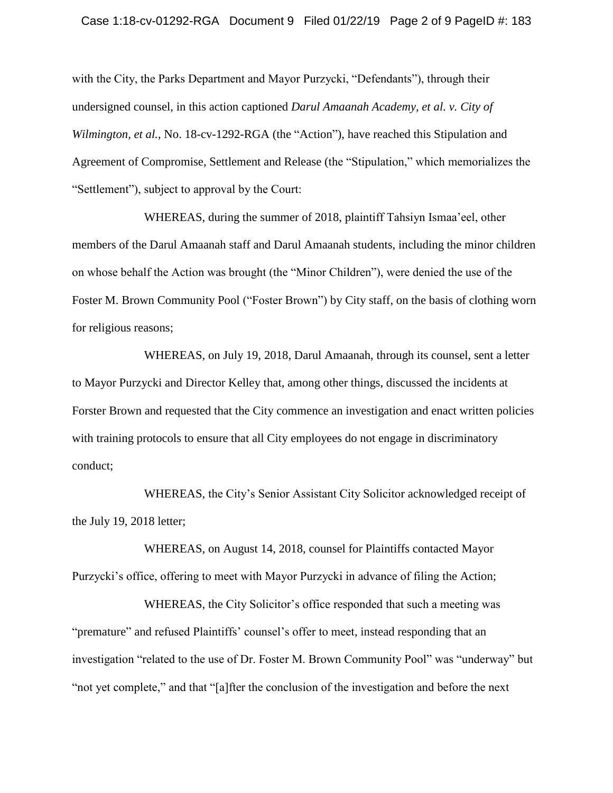#### Case 1:18-cv-01292-RGA Document 9 Filed 01/22/19 Page 2 of 9 PageID #: 183

with the City, the Parks Department and Mayor Purzycki, "Defendants"), through their undersigned counsel, in this action captioned *Darul Amaanah Academy, et al. v. City of Wilmington, et al.*, No. 18-cv-1292-RGA (the "Action"), have reached this Stipulation and Agreement of Compromise, Settlement and Release (the "Stipulation," which memorializes the "Settlement"), subject to approval by the Court:

WHEREAS, during the summer of 2018, plaintiff Tahsiyn Ismaa'eel, other members of the Darul Amaanah staff and Darul Amaanah students, including the minor children on whose behalf the Action was brought (the "Minor Children"), were denied the use of the Foster M. Brown Community Pool ("Foster Brown") by City staff, on the basis of clothing worn for religious reasons;

WHEREAS, on July 19, 2018, Darul Amaanah, through its counsel, sent a letter to Mayor Purzycki and Director Kelley that, among other things, discussed the incidents at Forster Brown and requested that the City commence an investigation and enact written policies with training protocols to ensure that all City employees do not engage in discriminatory conduct;

WHEREAS, the City's Senior Assistant City Solicitor acknowledged receipt of the July 19, 2018 letter;

WHEREAS, on August 14, 2018, counsel for Plaintiffs contacted Mayor Purzycki's office, offering to meet with Mayor Purzycki in advance of filing the Action;

WHEREAS, the City Solicitor's office responded that such a meeting was "premature" and refused Plaintiffs' counsel's offer to meet, instead responding that an investigation "related to the use of Dr. Foster M. Brown Community Pool" was "underway" but "not yet complete," and that "[a]fter the conclusion of the investigation and before the next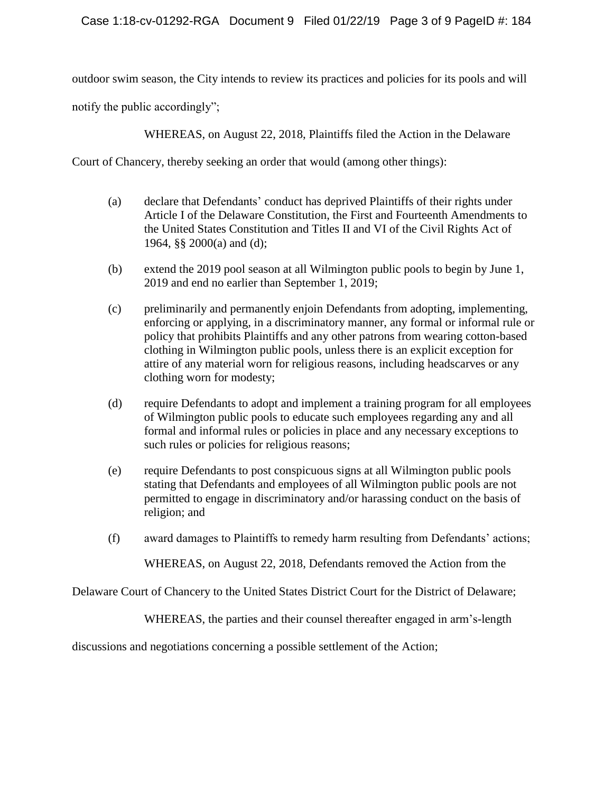outdoor swim season, the City intends to review its practices and policies for its pools and will

notify the public accordingly";

WHEREAS, on August 22, 2018, Plaintiffs filed the Action in the Delaware

Court of Chancery, thereby seeking an order that would (among other things):

- (a) declare that Defendants' conduct has deprived Plaintiffs of their rights under Article I of the Delaware Constitution, the First and Fourteenth Amendments to the United States Constitution and Titles II and VI of the Civil Rights Act of 1964, §§ 2000(a) and (d);
- (b) extend the 2019 pool season at all Wilmington public pools to begin by June 1, 2019 and end no earlier than September 1, 2019;
- (c) preliminarily and permanently enjoin Defendants from adopting, implementing, enforcing or applying, in a discriminatory manner, any formal or informal rule or policy that prohibits Plaintiffs and any other patrons from wearing cotton-based clothing in Wilmington public pools, unless there is an explicit exception for attire of any material worn for religious reasons, including headscarves or any clothing worn for modesty;
- (d) require Defendants to adopt and implement a training program for all employees of Wilmington public pools to educate such employees regarding any and all formal and informal rules or policies in place and any necessary exceptions to such rules or policies for religious reasons;
- (e) require Defendants to post conspicuous signs at all Wilmington public pools stating that Defendants and employees of all Wilmington public pools are not permitted to engage in discriminatory and/or harassing conduct on the basis of religion; and
- (f) award damages to Plaintiffs to remedy harm resulting from Defendants' actions;

WHEREAS, on August 22, 2018, Defendants removed the Action from the

Delaware Court of Chancery to the United States District Court for the District of Delaware;

WHEREAS, the parties and their counsel thereafter engaged in arm's-length

discussions and negotiations concerning a possible settlement of the Action;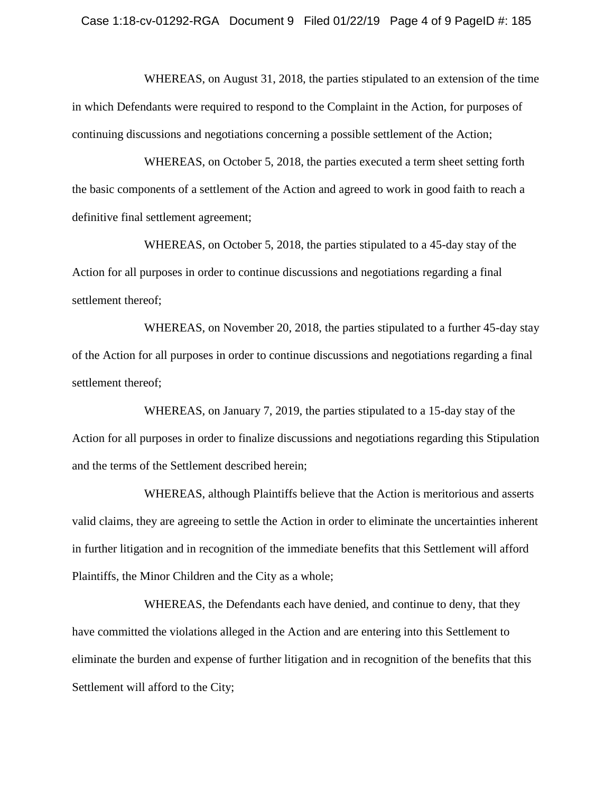WHEREAS, on August 31, 2018, the parties stipulated to an extension of the time in which Defendants were required to respond to the Complaint in the Action, for purposes of continuing discussions and negotiations concerning a possible settlement of the Action;

WHEREAS, on October 5, 2018, the parties executed a term sheet setting forth the basic components of a settlement of the Action and agreed to work in good faith to reach a definitive final settlement agreement;

WHEREAS, on October 5, 2018, the parties stipulated to a 45-day stay of the Action for all purposes in order to continue discussions and negotiations regarding a final settlement thereof;

WHEREAS, on November 20, 2018, the parties stipulated to a further 45-day stay of the Action for all purposes in order to continue discussions and negotiations regarding a final settlement thereof;

WHEREAS, on January 7, 2019, the parties stipulated to a 15-day stay of the Action for all purposes in order to finalize discussions and negotiations regarding this Stipulation and the terms of the Settlement described herein;

WHEREAS, although Plaintiffs believe that the Action is meritorious and asserts valid claims, they are agreeing to settle the Action in order to eliminate the uncertainties inherent in further litigation and in recognition of the immediate benefits that this Settlement will afford Plaintiffs, the Minor Children and the City as a whole;

WHEREAS, the Defendants each have denied, and continue to deny, that they have committed the violations alleged in the Action and are entering into this Settlement to eliminate the burden and expense of further litigation and in recognition of the benefits that this Settlement will afford to the City;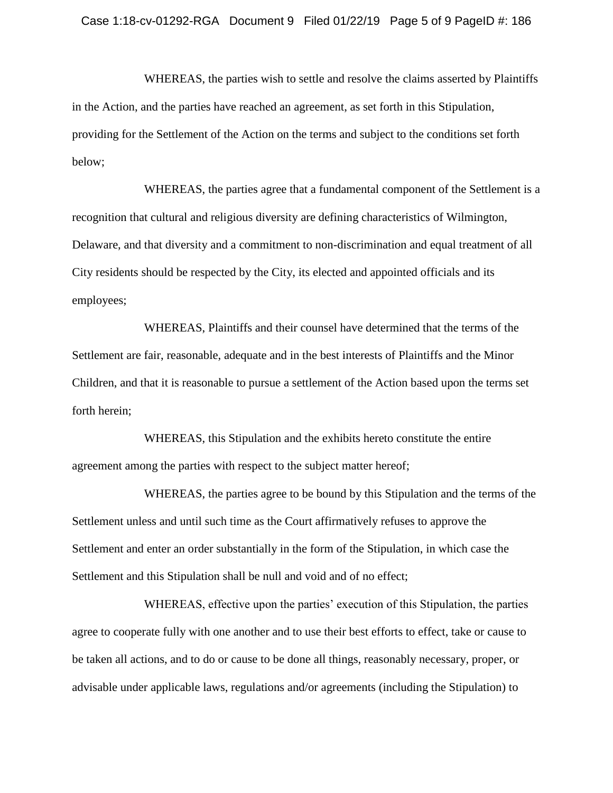WHEREAS, the parties wish to settle and resolve the claims asserted by Plaintiffs in the Action, and the parties have reached an agreement, as set forth in this Stipulation, providing for the Settlement of the Action on the terms and subject to the conditions set forth below;

WHEREAS, the parties agree that a fundamental component of the Settlement is a recognition that cultural and religious diversity are defining characteristics of Wilmington, Delaware, and that diversity and a commitment to non-discrimination and equal treatment of all City residents should be respected by the City, its elected and appointed officials and its employees;

WHEREAS, Plaintiffs and their counsel have determined that the terms of the Settlement are fair, reasonable, adequate and in the best interests of Plaintiffs and the Minor Children, and that it is reasonable to pursue a settlement of the Action based upon the terms set forth herein;

WHEREAS, this Stipulation and the exhibits hereto constitute the entire agreement among the parties with respect to the subject matter hereof;

WHEREAS, the parties agree to be bound by this Stipulation and the terms of the Settlement unless and until such time as the Court affirmatively refuses to approve the Settlement and enter an order substantially in the form of the Stipulation, in which case the Settlement and this Stipulation shall be null and void and of no effect;

WHEREAS, effective upon the parties' execution of this Stipulation, the parties agree to cooperate fully with one another and to use their best efforts to effect, take or cause to be taken all actions, and to do or cause to be done all things, reasonably necessary, proper, or advisable under applicable laws, regulations and/or agreements (including the Stipulation) to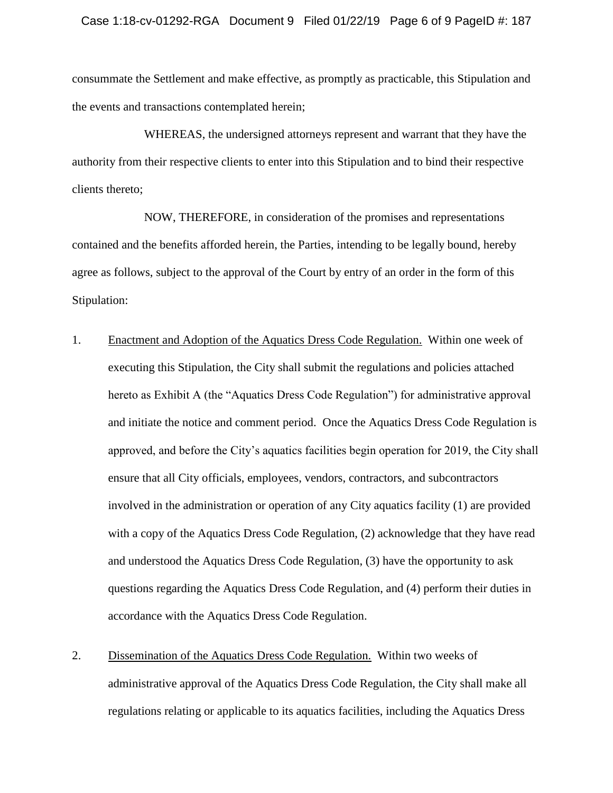consummate the Settlement and make effective, as promptly as practicable, this Stipulation and the events and transactions contemplated herein;

WHEREAS, the undersigned attorneys represent and warrant that they have the authority from their respective clients to enter into this Stipulation and to bind their respective clients thereto;

NOW, THEREFORE, in consideration of the promises and representations contained and the benefits afforded herein, the Parties, intending to be legally bound, hereby agree as follows, subject to the approval of the Court by entry of an order in the form of this Stipulation:

- 1. Enactment and Adoption of the Aquatics Dress Code Regulation. Within one week of executing this Stipulation, the City shall submit the regulations and policies attached hereto as Exhibit A (the "Aquatics Dress Code Regulation") for administrative approval and initiate the notice and comment period. Once the Aquatics Dress Code Regulation is approved, and before the City's aquatics facilities begin operation for 2019, the City shall ensure that all City officials, employees, vendors, contractors, and subcontractors involved in the administration or operation of any City aquatics facility (1) are provided with a copy of the Aquatics Dress Code Regulation, (2) acknowledge that they have read and understood the Aquatics Dress Code Regulation, (3) have the opportunity to ask questions regarding the Aquatics Dress Code Regulation, and (4) perform their duties in accordance with the Aquatics Dress Code Regulation.
- 2. Dissemination of the Aquatics Dress Code Regulation. Within two weeks of administrative approval of the Aquatics Dress Code Regulation, the City shall make all regulations relating or applicable to its aquatics facilities, including the Aquatics Dress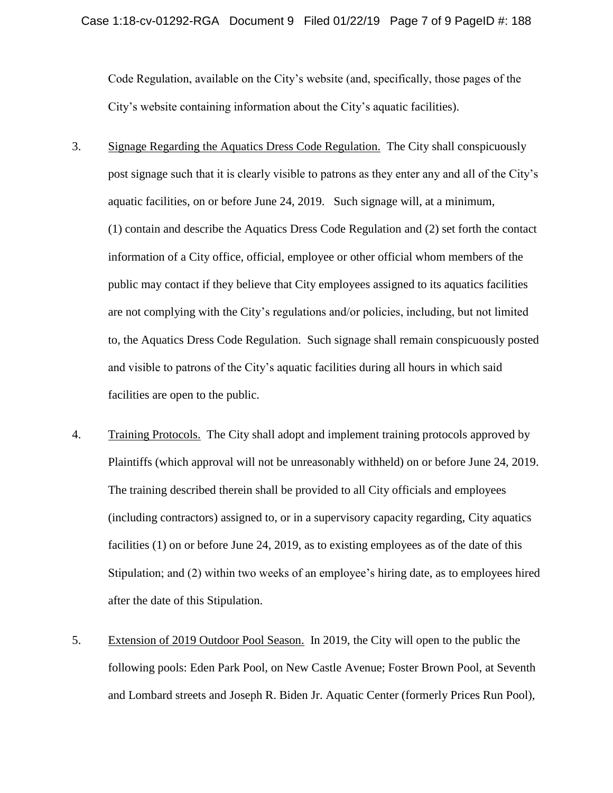Code Regulation, available on the City's website (and, specifically, those pages of the City's website containing information about the City's aquatic facilities).

- 3. Signage Regarding the Aquatics Dress Code Regulation. The City shall conspicuously post signage such that it is clearly visible to patrons as they enter any and all of the City's aquatic facilities, on or before June 24, 2019. Such signage will, at a minimum, (1) contain and describe the Aquatics Dress Code Regulation and (2) set forth the contact information of a City office, official, employee or other official whom members of the public may contact if they believe that City employees assigned to its aquatics facilities are not complying with the City's regulations and/or policies, including, but not limited to, the Aquatics Dress Code Regulation. Such signage shall remain conspicuously posted and visible to patrons of the City's aquatic facilities during all hours in which said facilities are open to the public.
- 4. Training Protocols. The City shall adopt and implement training protocols approved by Plaintiffs (which approval will not be unreasonably withheld) on or before June 24, 2019. The training described therein shall be provided to all City officials and employees (including contractors) assigned to, or in a supervisory capacity regarding, City aquatics facilities (1) on or before June 24, 2019, as to existing employees as of the date of this Stipulation; and (2) within two weeks of an employee's hiring date, as to employees hired after the date of this Stipulation.
- 5. Extension of 2019 Outdoor Pool Season. In 2019, the City will open to the public the following pools: Eden Park Pool, on New Castle Avenue; Foster Brown Pool, at Seventh and Lombard streets and Joseph R. Biden Jr. Aquatic Center (formerly Prices Run Pool),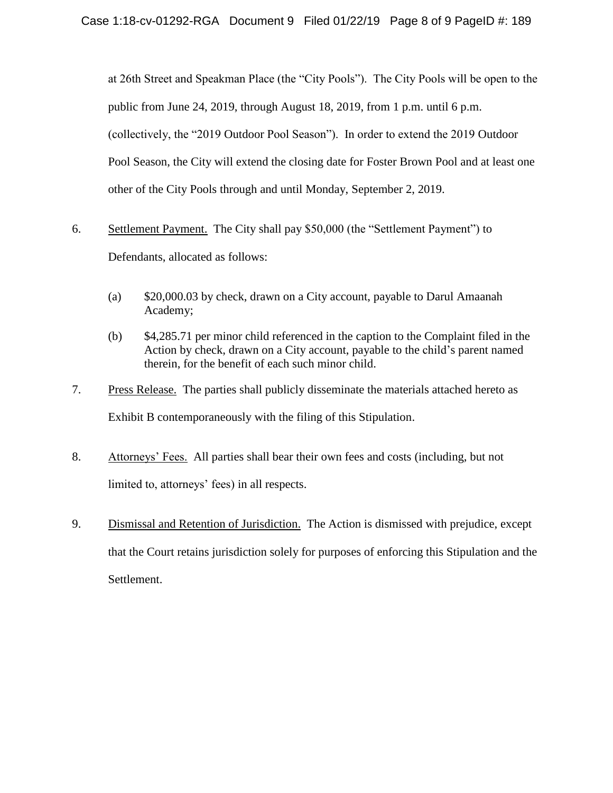at 26th Street and Speakman Place (the "City Pools"). The City Pools will be open to the public from June 24, 2019, through August 18, 2019, from 1 p.m. until 6 p.m. (collectively, the "2019 Outdoor Pool Season"). In order to extend the 2019 Outdoor Pool Season, the City will extend the closing date for Foster Brown Pool and at least one other of the City Pools through and until Monday, September 2, 2019.

- 6. Settlement Payment. The City shall pay \$50,000 (the "Settlement Payment") to Defendants, allocated as follows:
	- (a) \$20,000.03 by check, drawn on a City account, payable to Darul Amaanah Academy;
	- (b) \$4,285.71 per minor child referenced in the caption to the Complaint filed in the Action by check, drawn on a City account, payable to the child's parent named therein, for the benefit of each such minor child.
- 7. Press Release. The parties shall publicly disseminate the materials attached hereto as Exhibit B contemporaneously with the filing of this Stipulation.
- 8. Attorneys' Fees. All parties shall bear their own fees and costs (including, but not limited to, attorneys' fees) in all respects.
- 9. Dismissal and Retention of Jurisdiction. The Action is dismissed with prejudice, except that the Court retains jurisdiction solely for purposes of enforcing this Stipulation and the Settlement.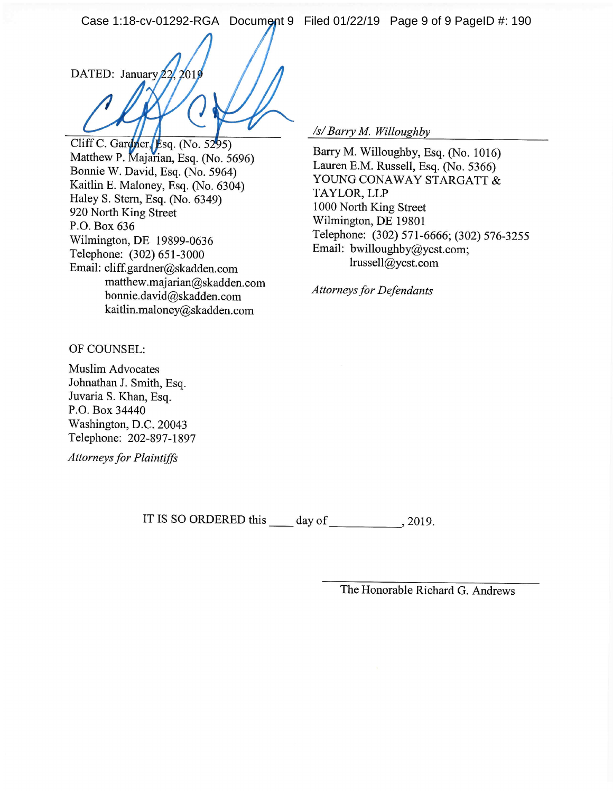Case 1:18-cv-01292-RGA Document 9 Filed 01/22/19 Page 9 of 9 PageID #: 190

DATED: January 22, 2019

Cliff C. Gardner, Esq. (No. 5295) Matthew P. Majarian, Esq. (No. 5696) Bonnie W. David, Esq. (No. 5964) Kaitlin E. Maloney, Esq. (No. 6304) Haley S. Stern, Esq. (No. 6349) 920 North King Street P.O. Box 636 Wilmington, DE 19899-0636 Telephone: (302) 651-3000 Email: cliff.gardner@skadden.com matthew.majarian@skadden.com bonnie.david@skadden.com kaitlin.maloney@skadden.com

/s/ Barry M. Willoughby

Barry M. Willoughby, Esq. (No. 1016) Lauren E.M. Russell, Esq. (No. 5366) YOUNG CONAWAY STARGATT & TAYLOR, LLP 1000 North King Street Wilmington, DE 19801 Telephone: (302) 571-6666; (302) 576-3255 Email: bwilloughby@ycst.com; lrussell@ycst.com

**Attorneys for Defendants** 

OF COUNSEL:

**Muslim Advocates** Johnathan J. Smith, Esq. Juvaria S. Khan, Esq. P.O. Box 34440 Washington, D.C. 20043 Telephone: 202-897-1897

**Attorneys for Plaintiffs** 

IT IS SO ORDERED this \_\_\_\_\_ day of \_\_\_\_\_\_\_\_\_\_\_\_\_\_, 2019.

The Honorable Richard G. Andrews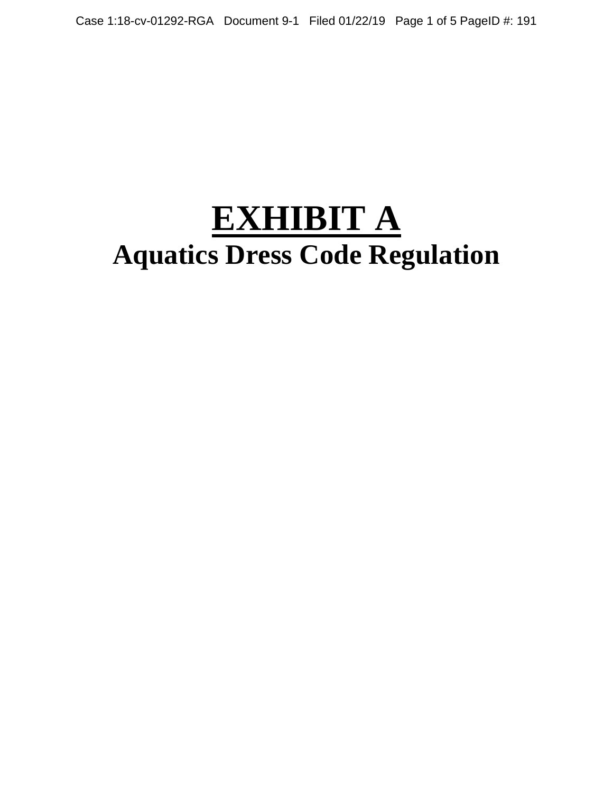# **EXHIBIT A Aquatics Dress Code Regulation**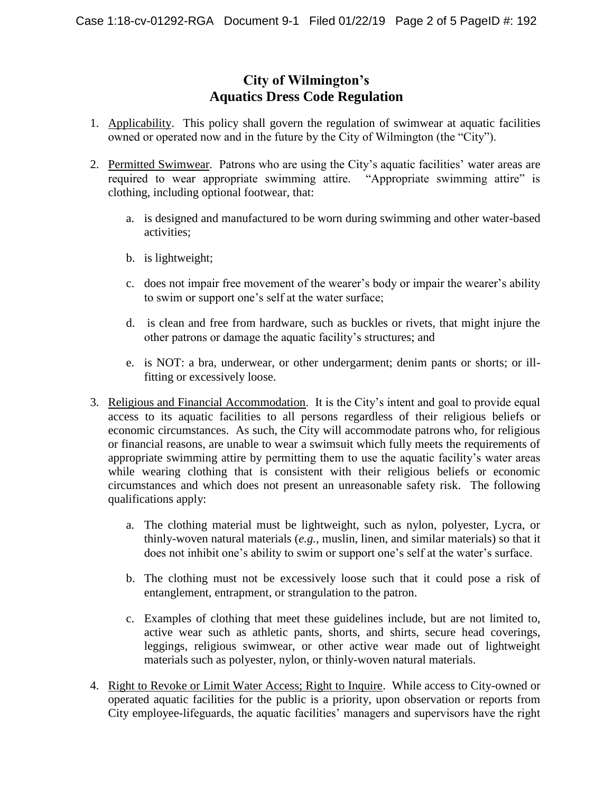# **City of Wilmington's Aquatics Dress Code Regulation**

- 1. Applicability. This policy shall govern the regulation of swimwear at aquatic facilities owned or operated now and in the future by the City of Wilmington (the "City").
- 2. Permitted Swimwear. Patrons who are using the City's aquatic facilities' water areas are required to wear appropriate swimming attire. "Appropriate swimming attire" is clothing, including optional footwear, that:
	- a. is designed and manufactured to be worn during swimming and other water-based activities;
	- b. is lightweight;
	- c. does not impair free movement of the wearer's body or impair the wearer's ability to swim or support one's self at the water surface;
	- d. is clean and free from hardware, such as buckles or rivets, that might injure the other patrons or damage the aquatic facility's structures; and
	- e. is NOT: a bra, underwear, or other undergarment; denim pants or shorts; or illfitting or excessively loose.
- 3. Religious and Financial Accommodation. It is the City's intent and goal to provide equal access to its aquatic facilities to all persons regardless of their religious beliefs or economic circumstances. As such, the City will accommodate patrons who, for religious or financial reasons, are unable to wear a swimsuit which fully meets the requirements of appropriate swimming attire by permitting them to use the aquatic facility's water areas while wearing clothing that is consistent with their religious beliefs or economic circumstances and which does not present an unreasonable safety risk. The following qualifications apply:
	- a. The clothing material must be lightweight, such as nylon, polyester, Lycra, or thinly-woven natural materials (*e.g.*, muslin, linen, and similar materials) so that it does not inhibit one's ability to swim or support one's self at the water's surface.
	- b. The clothing must not be excessively loose such that it could pose a risk of entanglement, entrapment, or strangulation to the patron.
	- c. Examples of clothing that meet these guidelines include, but are not limited to, active wear such as athletic pants, shorts, and shirts, secure head coverings, leggings, religious swimwear, or other active wear made out of lightweight materials such as polyester, nylon, or thinly-woven natural materials.
- 4. Right to Revoke or Limit Water Access; Right to Inquire. While access to City-owned or operated aquatic facilities for the public is a priority, upon observation or reports from City employee-lifeguards, the aquatic facilities' managers and supervisors have the right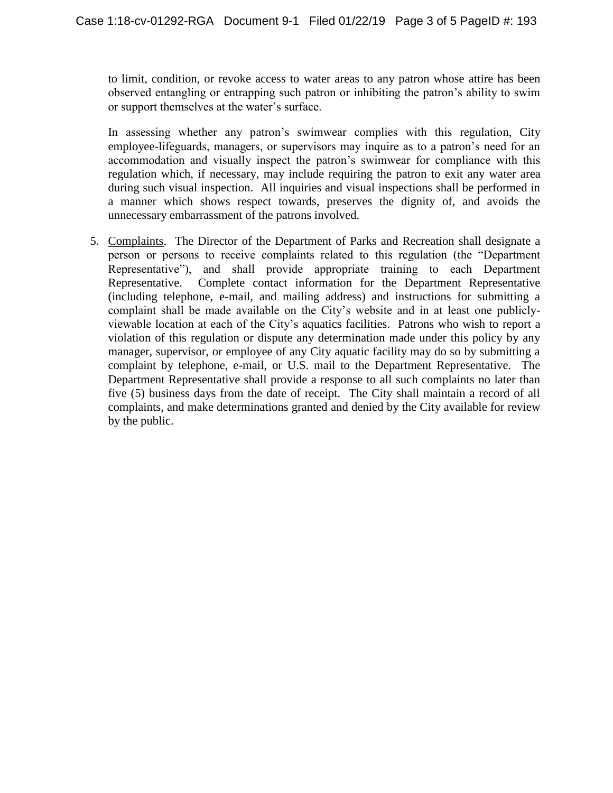to limit, condition, or revoke access to water areas to any patron whose attire has been observed entangling or entrapping such patron or inhibiting the patron's ability to swim or support themselves at the water's surface.

In assessing whether any patron's swimwear complies with this regulation, City employee-lifeguards, managers, or supervisors may inquire as to a patron's need for an accommodation and visually inspect the patron's swimwear for compliance with this regulation which, if necessary, may include requiring the patron to exit any water area during such visual inspection. All inquiries and visual inspections shall be performed in a manner which shows respect towards, preserves the dignity of, and avoids the unnecessary embarrassment of the patrons involved.

5. Complaints. The Director of the Department of Parks and Recreation shall designate a person or persons to receive complaints related to this regulation (the "Department Representative"), and shall provide appropriate training to each Department Representative. Complete contact information for the Department Representative (including telephone, e-mail, and mailing address) and instructions for submitting a complaint shall be made available on the City's website and in at least one publiclyviewable location at each of the City's aquatics facilities. Patrons who wish to report a violation of this regulation or dispute any determination made under this policy by any manager, supervisor, or employee of any City aquatic facility may do so by submitting a complaint by telephone, e-mail, or U.S. mail to the Department Representative. The Department Representative shall provide a response to all such complaints no later than five (5) business days from the date of receipt. The City shall maintain a record of all complaints, and make determinations granted and denied by the City available for review by the public.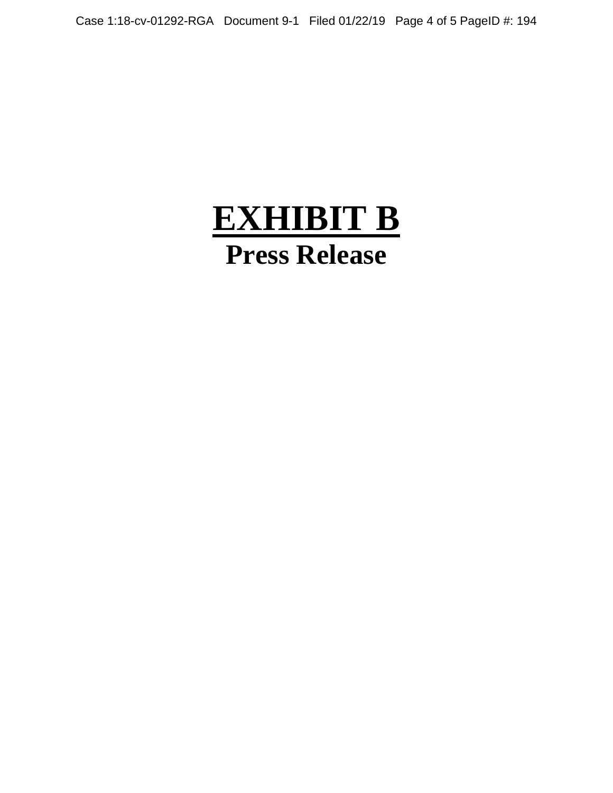# **EXHIBIT B Press Release**